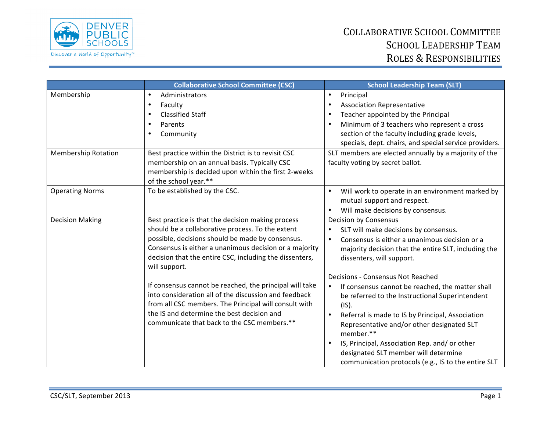

## COLLABORATIVE SCHOOL COMMITTEE SCHOOL LEADERSHIP TEAM ROLES & RESPONSIBILITIES

|                            | <b>Collaborative School Committee (CSC)</b>                                                                                                                                                                                                                                                                                                                                                                                                                                                                                                                               | <b>School Leadership Team (SLT)</b>                                                                                                                                                                                                                                                                                                                                                                                                                                                                                                                                                                                                                                                |
|----------------------------|---------------------------------------------------------------------------------------------------------------------------------------------------------------------------------------------------------------------------------------------------------------------------------------------------------------------------------------------------------------------------------------------------------------------------------------------------------------------------------------------------------------------------------------------------------------------------|------------------------------------------------------------------------------------------------------------------------------------------------------------------------------------------------------------------------------------------------------------------------------------------------------------------------------------------------------------------------------------------------------------------------------------------------------------------------------------------------------------------------------------------------------------------------------------------------------------------------------------------------------------------------------------|
| Membership                 | Administrators<br>$\bullet$<br>Faculty<br>$\bullet$<br><b>Classified Staff</b><br>$\bullet$<br>Parents<br>$\bullet$<br>Community<br>$\bullet$                                                                                                                                                                                                                                                                                                                                                                                                                             | Principal<br>$\bullet$<br><b>Association Representative</b><br>$\bullet$<br>Teacher appointed by the Principal<br>$\bullet$<br>Minimum of 3 teachers who represent a cross<br>$\bullet$<br>section of the faculty including grade levels,<br>specials, dept. chairs, and special service providers.                                                                                                                                                                                                                                                                                                                                                                                |
| <b>Membership Rotation</b> | Best practice within the District is to revisit CSC<br>membership on an annual basis. Typically CSC<br>membership is decided upon within the first 2-weeks<br>of the school year.**                                                                                                                                                                                                                                                                                                                                                                                       | SLT members are elected annually by a majority of the<br>faculty voting by secret ballot.                                                                                                                                                                                                                                                                                                                                                                                                                                                                                                                                                                                          |
| <b>Operating Norms</b>     | To be established by the CSC.                                                                                                                                                                                                                                                                                                                                                                                                                                                                                                                                             | Will work to operate in an environment marked by<br>$\bullet$<br>mutual support and respect.<br>Will make decisions by consensus.                                                                                                                                                                                                                                                                                                                                                                                                                                                                                                                                                  |
| <b>Decision Making</b>     | Best practice is that the decision making process<br>should be a collaborative process. To the extent<br>possible, decisions should be made by consensus.<br>Consensus is either a unanimous decision or a majority<br>decision that the entire CSC, including the dissenters,<br>will support.<br>If consensus cannot be reached, the principal will take<br>into consideration all of the discussion and feedback<br>from all CSC members. The Principal will consult with<br>the IS and determine the best decision and<br>communicate that back to the CSC members.** | <b>Decision by Consensus</b><br>SLT will make decisions by consensus.<br>$\bullet$<br>Consensus is either a unanimous decision or a<br>$\bullet$<br>majority decision that the entire SLT, including the<br>dissenters, will support.<br>Decisions - Consensus Not Reached<br>If consensus cannot be reached, the matter shall<br>$\bullet$<br>be referred to the Instructional Superintendent<br>(IS).<br>Referral is made to IS by Principal, Association<br>$\bullet$<br>Representative and/or other designated SLT<br>member.**<br>IS, Principal, Association Rep. and/or other<br>designated SLT member will determine<br>communication protocols (e.g., IS to the entire SLT |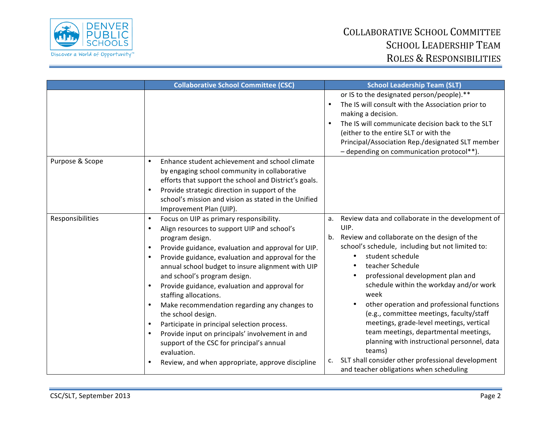

## COLLABORATIVE SCHOOL COMMITTEE SCHOOL LEADERSHIP TEAM ROLES & RESPONSIBILITIES

|                  | <b>Collaborative School Committee (CSC)</b>                                                                                                                                                                                                                                                                                                                                                                                                                                                                                                                                                                                                                                                                                                  | <b>School Leadership Team (SLT)</b>                                                                                                                                                                                                                                                                                                                                                                                                                                                                                                                                                                                                              |
|------------------|----------------------------------------------------------------------------------------------------------------------------------------------------------------------------------------------------------------------------------------------------------------------------------------------------------------------------------------------------------------------------------------------------------------------------------------------------------------------------------------------------------------------------------------------------------------------------------------------------------------------------------------------------------------------------------------------------------------------------------------------|--------------------------------------------------------------------------------------------------------------------------------------------------------------------------------------------------------------------------------------------------------------------------------------------------------------------------------------------------------------------------------------------------------------------------------------------------------------------------------------------------------------------------------------------------------------------------------------------------------------------------------------------------|
|                  |                                                                                                                                                                                                                                                                                                                                                                                                                                                                                                                                                                                                                                                                                                                                              | or IS to the designated person/people).**<br>The IS will consult with the Association prior to<br>making a decision.<br>The IS will communicate decision back to the SLT<br>(either to the entire SLT or with the<br>Principal/Association Rep./designated SLT member<br>- depending on communication protocol**).                                                                                                                                                                                                                                                                                                                               |
| Purpose & Scope  | Enhance student achievement and school climate<br>$\bullet$<br>by engaging school community in collaborative<br>efforts that support the school and District's goals.<br>Provide strategic direction in support of the<br>school's mission and vision as stated in the Unified<br>Improvement Plan (UIP).                                                                                                                                                                                                                                                                                                                                                                                                                                    |                                                                                                                                                                                                                                                                                                                                                                                                                                                                                                                                                                                                                                                  |
| Responsibilities | Focus on UIP as primary responsibility.<br>$\bullet$<br>Align resources to support UIP and school's<br>program design.<br>Provide guidance, evaluation and approval for UIP.<br>$\bullet$<br>Provide guidance, evaluation and approval for the<br>annual school budget to insure alignment with UIP<br>and school's program design.<br>Provide guidance, evaluation and approval for<br>$\bullet$<br>staffing allocations.<br>Make recommendation regarding any changes to<br>$\bullet$<br>the school design.<br>Participate in principal selection process.<br>$\bullet$<br>Provide input on principals' involvement in and<br>support of the CSC for principal's annual<br>evaluation.<br>Review, and when appropriate, approve discipline | a. Review data and collaborate in the development of<br>UIP.<br>b. Review and collaborate on the design of the<br>school's schedule, including but not limited to:<br>student schedule<br>teacher Schedule<br>professional development plan and<br>schedule within the workday and/or work<br>week<br>other operation and professional functions<br>(e.g., committee meetings, faculty/staff<br>meetings, grade-level meetings, vertical<br>team meetings, departmental meetings,<br>planning with instructional personnel, data<br>teams)<br>SLT shall consider other professional development<br>c.<br>and teacher obligations when scheduling |